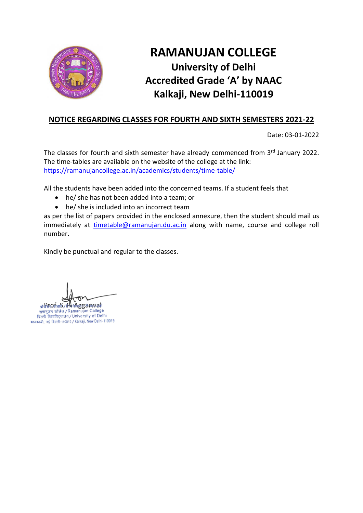

# **RAMANUJAN COLLEGE University of Delhi Accredited Grade 'A' by NAAC Kalkaji, New Delhi-110019**

### **NOTICE REGARDING CLASSES FOR FOURTH AND SIXTH SEMESTERS 2021-22**

Date: 03-01-2022

The classes for fourth and sixth semester have already commenced from 3<sup>rd</sup> January 2022. The time-tables are available on the website of the college at the link: <https://ramanujancollege.ac.in/academics/students/time-table/>

All the students have been added into the concerned teams. If a student feels that

- he/ she has not been added into a team; or
- he/ she is included into an incorrect team

as per the list of papers provided in the enclosed annexure, then the student should mail us immediately at [timetable@ramanujan.du.ac.in](mailto:timetable@ramanujan.du.ac.in) along with name, course and college roll number.

Kindly be punctual and regular to the classes.

प्रोडेसंOर्गमार्के / फ्रें सिद्धुद्धुद्ध शांगारा हो।<br>रामानुजन कॉलेज / Ramanujan College<br>दिल्ली विश्वविद्यालय / University of Delhi कालकाजी, नई दिल्ली-110019 / Kalkaji, New Delhi-110019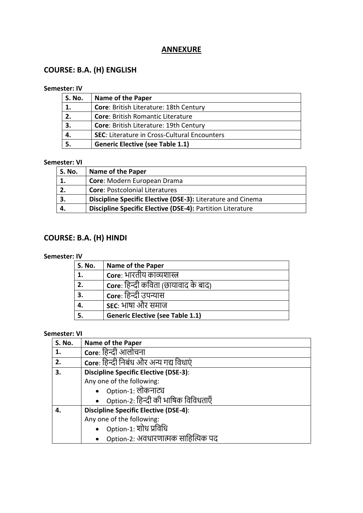### **ANNEXURE**

## **COURSE: B.A. (H) ENGLISH**

#### **Semester: IV**

| <b>S. No.</b> | <b>Name of the Paper</b>                            |
|---------------|-----------------------------------------------------|
| 1.            | Core: British Literature: 18th Century              |
| 2.            | <b>Core: British Romantic Literature</b>            |
| 3.            | Core: British Literature: 19th Century              |
| 4.            | <b>SEC: Literature in Cross-Cultural Encounters</b> |
| 5.            | <b>Generic Elective (see Table 1.1)</b>             |

#### **Semester: VI**

| S. No. | Name of the Paper                                           |
|--------|-------------------------------------------------------------|
| 1.     | Core: Modern European Drama                                 |
|        | <b>Core: Postcolonial Literatures</b>                       |
|        | Discipline Specific Elective (DSE-3): Literature and Cinema |
|        | Discipline Specific Elective (DSE-4): Partition Literature  |

## **COURSE: B.A. (H) HINDI**

#### **Semester: IV**

| <b>S. No.</b> | <b>Name of the Paper</b>                    |
|---------------|---------------------------------------------|
| 1.            | Core: भारतीय काव्यशास्त्र                   |
| 2.            | <b>Core</b> : हिन्दी कविता (छायावाद के बाद) |
| 3.            | Core: हिन्दी उपन्यास                        |
| 4.            | sec: भाषा और समाज                           |
| 5.            | <b>Generic Elective (see Table 1.1)</b>     |

| S. No. | <b>Name of the Paper</b>                     |
|--------|----------------------------------------------|
| 1.     | Core: हिन्दी आलोचना                          |
| 2.     | Core: हिन्दी निबंध और अन्य गद्य विधाएं       |
| 3.     | <b>Discipline Specific Elective (DSE-3):</b> |
|        | Any one of the following:                    |
|        | Option-1: लोकनाट्य                           |
|        | • Option-2: हिन्दी की भाषिक विविधताएँ        |
| 4.     | <b>Discipline Specific Elective (DSE-4):</b> |
|        | Any one of the following:                    |
|        | Option-1: शोध प्रविधि                        |
|        | Option-2: अवधारणात्मक साहित्यिक पद           |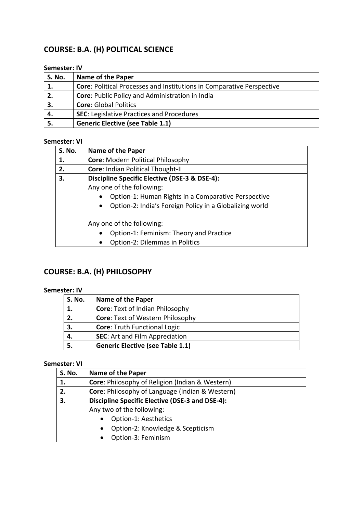# **COURSE: B.A. (H) POLITICAL SCIENCE**

#### **Semester: IV**

| <b>S. No.</b> | <b>Name of the Paper</b>                                                     |
|---------------|------------------------------------------------------------------------------|
|               | <b>Core: Political Processes and Institutions in Comparative Perspective</b> |
| 2.            | Core: Public Policy and Administration in India                              |
| З.            | <b>Core: Global Politics</b>                                                 |
| 4.            | <b>SEC: Legislative Practices and Procedures</b>                             |
|               | <b>Generic Elective (see Table 1.1)</b>                                      |

#### **Semester: VI**

| <b>S. No.</b> | Name of the Paper                                                    |
|---------------|----------------------------------------------------------------------|
| 1.            | <b>Core: Modern Political Philosophy</b>                             |
| 2.            | Core: Indian Political Thought-II                                    |
| 3.            | Discipline Specific Elective (DSE-3 & DSE-4):                        |
|               | Any one of the following:                                            |
|               | Option-1: Human Rights in a Comparative Perspective                  |
|               | Option-2: India's Foreign Policy in a Globalizing world<br>$\bullet$ |
|               | Any one of the following:                                            |
|               | Option-1: Feminism: Theory and Practice<br>$\bullet$                 |
|               | Option-2: Dilemmas in Politics                                       |

# **COURSE: B.A. (H) PHILOSOPHY**

#### **Semester: IV**

| <b>S. No.</b> | <b>Name of the Paper</b>                |
|---------------|-----------------------------------------|
| 1.            | <b>Core: Text of Indian Philosophy</b>  |
| 2.            | <b>Core: Text of Western Philosophy</b> |
| 3.            | <b>Core: Truth Functional Logic</b>     |
| 4.            | <b>SEC:</b> Art and Film Appreciation   |
|               | <b>Generic Elective (see Table 1.1)</b> |

| <b>S. No.</b> | <b>Name of the Paper</b>                                   |
|---------------|------------------------------------------------------------|
| 1.            | Core: Philosophy of Religion (Indian & Western)            |
| 2.            | <b>Core: Philosophy of Language (Indian &amp; Western)</b> |
| 3.            | Discipline Specific Elective (DSE-3 and DSE-4):            |
|               | Any two of the following:                                  |
|               | Option-1: Aesthetics<br>$\bullet$                          |
|               | Option-2: Knowledge & Scepticism<br>$\bullet$              |
|               | Option-3: Feminism<br>$\bullet$                            |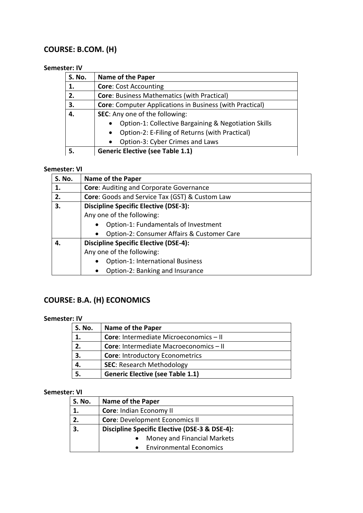## **COURSE: B.COM. (H)**

#### **Semester: IV**

| S. No. | <b>Name of the Paper</b>                                        |
|--------|-----------------------------------------------------------------|
| 1.     | <b>Core: Cost Accounting</b>                                    |
| 2.     | <b>Core: Business Mathematics (with Practical)</b>              |
| 3.     | <b>Core:</b> Computer Applications in Business (with Practical) |
| 4.     | SEC: Any one of the following:                                  |
|        | Option-1: Collective Bargaining & Negotiation Skills            |
|        | Option-2: E-Filing of Returns (with Practical)                  |
|        | Option-3: Cyber Crimes and Laws<br>$\bullet$                    |
| 5.     | <b>Generic Elective (see Table 1.1)</b>                         |

#### **Semester: VI**

| <b>S. No.</b> | Name of the Paper                              |
|---------------|------------------------------------------------|
| 1.            | <b>Core: Auditing and Corporate Governance</b> |
| 2.            | Core: Goods and Service Tax (GST) & Custom Law |
| З.            | <b>Discipline Specific Elective (DSE-3):</b>   |
|               | Any one of the following:                      |
|               | Option-1: Fundamentals of Investment           |
|               | Option-2: Consumer Affairs & Customer Care     |
| 4.            | <b>Discipline Specific Elective (DSE-4):</b>   |
|               | Any one of the following:                      |
|               | <b>Option-1: International Business</b>        |
|               | Option-2: Banking and Insurance<br>$\bullet$   |

# **COURSE: B.A. (H) ECONOMICS**

#### **Semester: IV**

| <b>S. No.</b> | <b>Name of the Paper</b>                      |
|---------------|-----------------------------------------------|
|               | <b>Core:</b> Intermediate Microeconomics - II |
| 2.            | Core: Intermediate Macroeconomics - II        |
| 3.            | <b>Core: Introductory Econometrics</b>        |
|               | <b>SEC: Research Methodology</b>              |
|               | <b>Generic Elective (see Table 1.1)</b>       |

| <b>S. No.</b> | <b>Name of the Paper</b>                      |
|---------------|-----------------------------------------------|
| 1.            | Core: Indian Economy II                       |
| 2.            | <b>Core: Development Economics II</b>         |
| 3.            | Discipline Specific Elective (DSE-3 & DSE-4): |
|               | Money and Financial Markets                   |
|               | <b>Environmental Economics</b><br>$\bullet$   |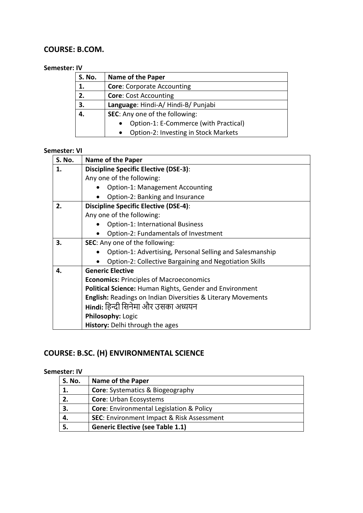### **COURSE: B.COM.**

#### **Semester: IV**

| <b>S. No.</b> | <b>Name of the Paper</b>                           |  |
|---------------|----------------------------------------------------|--|
| 1.            | <b>Core:</b> Corporate Accounting                  |  |
| 2.            | <b>Core: Cost Accounting</b>                       |  |
| 3.            | Language: Hindi-A/Hindi-B/Punjabi                  |  |
| 4.            | SEC: Any one of the following:                     |  |
|               | Option-1: E-Commerce (with Practical)<br>$\bullet$ |  |
|               | Option-2: Investing in Stock Markets<br>$\bullet$  |  |

## **Semester: VI**

| <b>S. No.</b> | <b>Name of the Paper</b>                                       |  |
|---------------|----------------------------------------------------------------|--|
| 1.            | <b>Discipline Specific Elective (DSE-3):</b>                   |  |
|               | Any one of the following:                                      |  |
|               | <b>Option-1: Management Accounting</b>                         |  |
|               | Option-2: Banking and Insurance                                |  |
| 2.            | <b>Discipline Specific Elective (DSE-4):</b>                   |  |
|               | Any one of the following:                                      |  |
|               | <b>Option-1: International Business</b>                        |  |
|               | Option-2: Fundamentals of Investment                           |  |
| 3.            | <b>SEC:</b> Any one of the following:                          |  |
|               | Option-1: Advertising, Personal Selling and Salesmanship       |  |
|               | <b>Option-2: Collective Bargaining and Negotiation Skills</b>  |  |
| 4.            | <b>Generic Elective</b>                                        |  |
|               | <b>Economics: Principles of Macroeconomics</b>                 |  |
|               | <b>Political Science: Human Rights, Gender and Environment</b> |  |
|               | English: Readings on Indian Diversities & Literary Movements   |  |
|               | Hindi: हिन्दी सिनेमा और उसका अध्ययन                            |  |
|               | <b>Philosophy: Logic</b>                                       |  |
|               | <b>History:</b> Delhi through the ages                         |  |

# **COURSE: B.SC. (H) ENVIRONMENTAL SCIENCE**

| <b>S. No.</b> | <b>Name of the Paper</b>                             |
|---------------|------------------------------------------------------|
|               | <b>Core:</b> Systematics & Biogeography              |
| 2.            | <b>Core: Urban Ecosystems</b>                        |
| З.            | <b>Core:</b> Environmental Legislation & Policy      |
| 4.            | <b>SEC: Environment Impact &amp; Risk Assessment</b> |
|               | <b>Generic Elective (see Table 1.1)</b>              |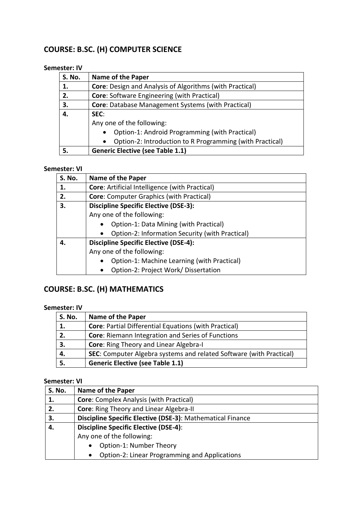# **COURSE: B.SC. (H) COMPUTER SCIENCE**

#### **Semester: IV**

| <b>S. No.</b> | <b>Name of the Paper</b>                                              |  |
|---------------|-----------------------------------------------------------------------|--|
| 1.            | <b>Core:</b> Design and Analysis of Algorithms (with Practical)       |  |
| 2.            | <b>Core: Software Engineering (with Practical)</b>                    |  |
| 3.            | <b>Core:</b> Database Management Systems (with Practical)             |  |
| 4.            | SEC:                                                                  |  |
|               | Any one of the following:                                             |  |
|               | Option-1: Android Programming (with Practical)<br>$\bullet$           |  |
|               | Option-2: Introduction to R Programming (with Practical)<br>$\bullet$ |  |
| 5.            | <b>Generic Elective (see Table 1.1)</b>                               |  |

#### **Semester: VI**

| <b>S. No.</b> | Name of the Paper                                            |  |
|---------------|--------------------------------------------------------------|--|
| 1.            | <b>Core: Artificial Intelligence (with Practical)</b>        |  |
| 2.            | <b>Core:</b> Computer Graphics (with Practical)              |  |
| 3.            | <b>Discipline Specific Elective (DSE-3):</b>                 |  |
|               | Any one of the following:                                    |  |
|               | Option-1: Data Mining (with Practical)                       |  |
|               | Option-2: Information Security (with Practical)<br>$\bullet$ |  |
| 4.            | <b>Discipline Specific Elective (DSE-4):</b>                 |  |
|               | Any one of the following:                                    |  |
|               | Option-1: Machine Learning (with Practical)<br>$\bullet$     |  |
|               | Option-2: Project Work/ Dissertation<br>$\bullet$            |  |

# **COURSE: B.SC. (H) MATHEMATICS**

#### **Semester: IV**

| <b>S. No.</b> | <b>Name of the Paper</b>                                                   |
|---------------|----------------------------------------------------------------------------|
| 1.            | <b>Core: Partial Differential Equations (with Practical)</b>               |
| 2.            | <b>Core: Riemann Integration and Series of Functions</b>                   |
| 3.            | <b>Core:</b> Ring Theory and Linear Algebra-I                              |
| 4.            | <b>SEC:</b> Computer Algebra systems and related Software (with Practical) |
| 5.            | <b>Generic Elective (see Table 1.1)</b>                                    |

| <b>S. No.</b> | <b>Name of the Paper</b>                                   |  |
|---------------|------------------------------------------------------------|--|
| 1.            | <b>Core:</b> Complex Analysis (with Practical)             |  |
| 2.            | <b>Core: Ring Theory and Linear Algebra-II</b>             |  |
| 3.            | Discipline Specific Elective (DSE-3): Mathematical Finance |  |
| 4.            | <b>Discipline Specific Elective (DSE-4):</b>               |  |
|               | Any one of the following:                                  |  |
|               | Option-1: Number Theory<br>$\bullet$                       |  |
|               | Option-2: Linear Programming and Applications<br>$\bullet$ |  |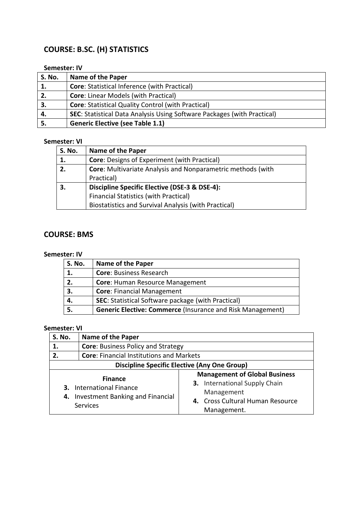# **COURSE: B.SC. (H) STATISTICS**

#### **Semester: IV**

| S. No. | <b>Name of the Paper</b>                                                       |
|--------|--------------------------------------------------------------------------------|
| 1.     | <b>Core: Statistical Inference (with Practical)</b>                            |
| 2.     | <b>Core: Linear Models (with Practical)</b>                                    |
| 3.     | <b>Core: Statistical Quality Control (with Practical)</b>                      |
| 4.     | <b>SEC:</b> Statistical Data Analysis Using Software Packages (with Practical) |
|        | <b>Generic Elective (see Table 1.1)</b>                                        |

#### **Semester: VI**

| <b>S. No.</b> | <b>Name of the Paper</b>                                           |  |
|---------------|--------------------------------------------------------------------|--|
| 1.            | <b>Core: Designs of Experiment (with Practical)</b>                |  |
| 2.            | <b>Core:</b> Multivariate Analysis and Nonparametric methods (with |  |
|               | Practical)                                                         |  |
| 3.            | Discipline Specific Elective (DSE-3 & DSE-4):                      |  |
|               | <b>Financial Statistics (with Practical)</b>                       |  |
|               | Biostatistics and Survival Analysis (with Practical)               |  |

## **COURSE: BMS**

#### **Semester: IV**

| <b>S. No.</b> | <b>Name of the Paper</b>                                          |
|---------------|-------------------------------------------------------------------|
| 1.            | <b>Core: Business Research</b>                                    |
| 2.            | Core: Human Resource Management                                   |
| 3.            | <b>Core: Financial Management</b>                                 |
| 4.            | SEC: Statistical Software package (with Practical)                |
|               | <b>Generic Elective: Commerce (Insurance and Risk Management)</b> |

| <b>S. No.</b>                                       | <b>Name of the Paper</b>                                                                          |                                                                                                                                               |
|-----------------------------------------------------|---------------------------------------------------------------------------------------------------|-----------------------------------------------------------------------------------------------------------------------------------------------|
| 1.                                                  | <b>Core: Business Policy and Strategy</b>                                                         |                                                                                                                                               |
| 2.                                                  | <b>Core: Financial Institutions and Markets</b>                                                   |                                                                                                                                               |
| <b>Discipline Specific Elective (Any One Group)</b> |                                                                                                   |                                                                                                                                               |
| 4.                                                  | <b>Finance</b><br><b>3.</b> International Finance<br>Investment Banking and Financial<br>Services | <b>Management of Global Business</b><br><b>3.</b> International Supply Chain<br>Management<br>4. Cross Cultural Human Resource<br>Management. |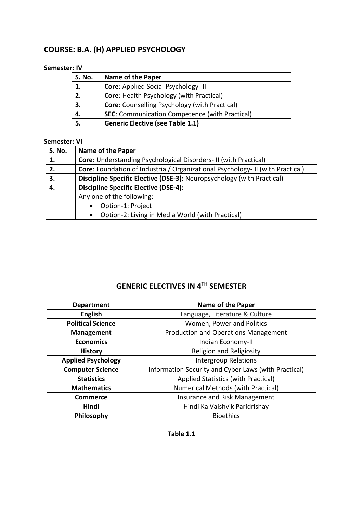# **COURSE: B.A. (H) APPLIED PSYCHOLOGY**

#### **Semester: IV**

| <b>S. No.</b> | <b>Name of the Paper</b>                              |
|---------------|-------------------------------------------------------|
| 1.            | <b>Core: Applied Social Psychology-II</b>             |
| 2.            | <b>Core: Health Psychology (with Practical)</b>       |
| 3.            | <b>Core:</b> Counselling Psychology (with Practical)  |
| 4.            | <b>SEC:</b> Communication Competence (with Practical) |
|               | <b>Generic Elective (see Table 1.1)</b>               |

#### **Semester: VI**

| <b>S. No.</b> | <b>Name of the Paper</b>                                                       |  |
|---------------|--------------------------------------------------------------------------------|--|
| 1.            | <b>Core:</b> Understanding Psychological Disorders-II (with Practical)         |  |
| 2.            | Core: Foundation of Industrial/ Organizational Psychology- II (with Practical) |  |
| З.            | Discipline Specific Elective (DSE-3): Neuropsychology (with Practical)         |  |
| 4.            | <b>Discipline Specific Elective (DSE-4):</b>                                   |  |
|               | Any one of the following:                                                      |  |
|               | Option-1: Project<br>$\bullet$                                                 |  |
|               | Option-2: Living in Media World (with Practical)<br>$\bullet$                  |  |

### **GENERIC ELECTIVES IN 4 TH SEMESTER**

| <b>Department</b>         | <b>Name of the Paper</b>                             |
|---------------------------|------------------------------------------------------|
| <b>English</b>            | Language, Literature & Culture                       |
| <b>Political Science</b>  | Women, Power and Politics                            |
| <b>Management</b>         | <b>Production and Operations Management</b>          |
| <b>Economics</b>          | Indian Economy-II                                    |
| <b>History</b>            | Religion and Religiosity                             |
| <b>Applied Psychology</b> | <b>Intergroup Relations</b>                          |
| <b>Computer Science</b>   | Information Security and Cyber Laws (with Practical) |
| <b>Statistics</b>         | Applied Statistics (with Practical)                  |
| <b>Mathematics</b>        | <b>Numerical Methods (with Practical)</b>            |
| <b>Commerce</b>           | Insurance and Risk Management                        |
| Hindi                     | Hindi Ka Vaishvik Paridrishay                        |
| Philosophy                | <b>Bioethics</b>                                     |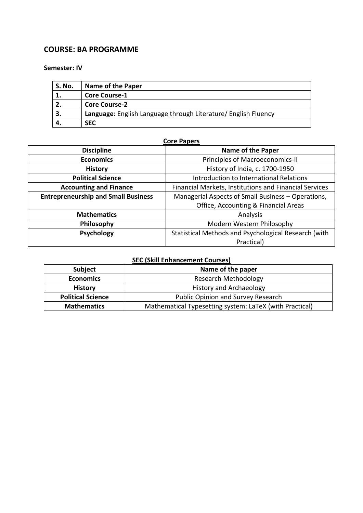### **COURSE: BA PROGRAMME**

#### **Semester: IV**

| S. No. | Name of the Paper                                              |
|--------|----------------------------------------------------------------|
|        | <b>Core Course-1</b>                                           |
|        | <b>Core Course-2</b>                                           |
| З.     | Language: English Language through Literature/ English Fluency |
|        | <b>SEC</b>                                                     |

#### **Core Papers**

| <b>Discipline</b>                          | <b>Name of the Paper</b>                               |
|--------------------------------------------|--------------------------------------------------------|
| <b>Economics</b>                           | Principles of Macroeconomics-II                        |
| <b>History</b>                             | History of India, c. 1700-1950                         |
| <b>Political Science</b>                   | Introduction to International Relations                |
| <b>Accounting and Finance</b>              | Financial Markets, Institutions and Financial Services |
| <b>Entrepreneurship and Small Business</b> | Managerial Aspects of Small Business - Operations,     |
|                                            | Office, Accounting & Financial Areas                   |
| <b>Mathematics</b>                         | Analysis                                               |
| Philosophy                                 | Modern Western Philosophy                              |
| Psychology                                 | Statistical Methods and Psychological Research (with   |
|                                            | Practical)                                             |

## **SEC (Skill Enhancement Courses)**

| <b>Subject</b>           | Name of the paper                                       |
|--------------------------|---------------------------------------------------------|
| <b>Economics</b>         | <b>Research Methodology</b>                             |
| <b>History</b>           | <b>History and Archaeology</b>                          |
| <b>Political Science</b> | Public Opinion and Survey Research                      |
| <b>Mathematics</b>       | Mathematical Typesetting system: LaTeX (with Practical) |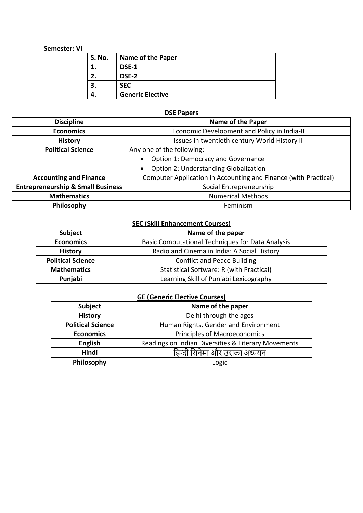#### **Semester: VI**

| <b>S. No.</b> | <b>Name of the Paper</b> |
|---------------|--------------------------|
|               | DSE-1                    |
|               | DSE-2                    |
|               | <b>SEC</b>               |
|               | <b>Generic Elective</b>  |

### **DSE Papers**

| <b>Discipline</b>                            | <b>Name of the Paper</b>                                        |
|----------------------------------------------|-----------------------------------------------------------------|
| <b>Economics</b>                             | Economic Development and Policy in India-II                     |
| <b>History</b>                               | Issues in twentieth century World History II                    |
| <b>Political Science</b>                     | Any one of the following:                                       |
|                                              | Option 1: Democracy and Governance<br>$\bullet$                 |
|                                              | <b>Option 2: Understanding Globalization</b>                    |
| <b>Accounting and Finance</b>                | Computer Application in Accounting and Finance (with Practical) |
| <b>Entrepreneurship &amp; Small Business</b> | Social Entrepreneurship                                         |
| <b>Mathematics</b>                           | <b>Numerical Methods</b>                                        |
| Philosophy                                   | Feminism                                                        |

### **SEC (Skill Enhancement Courses)**

| <b>Subject</b>           | Name of the paper                                       |
|--------------------------|---------------------------------------------------------|
| <b>Economics</b>         | <b>Basic Computational Techniques for Data Analysis</b> |
| <b>History</b>           | Radio and Cinema in India: A Social History             |
| <b>Political Science</b> | <b>Conflict and Peace Building</b>                      |
| <b>Mathematics</b>       | Statistical Software: R (with Practical)                |
| Punjabi                  | Learning Skill of Punjabi Lexicography                  |

#### **GE (Generic Elective Courses)**

| Subject                  | Name of the paper                                   |
|--------------------------|-----------------------------------------------------|
| <b>History</b>           | Delhi through the ages                              |
| <b>Political Science</b> | Human Rights, Gender and Environment                |
| <b>Economics</b>         | <b>Principles of Macroeconomics</b>                 |
| <b>English</b>           | Readings on Indian Diversities & Literary Movements |
| <b>Hindi</b>             | हिन्दी सिनेमा और उसका अध्ययन                        |
| Philosophy               | Logic                                               |